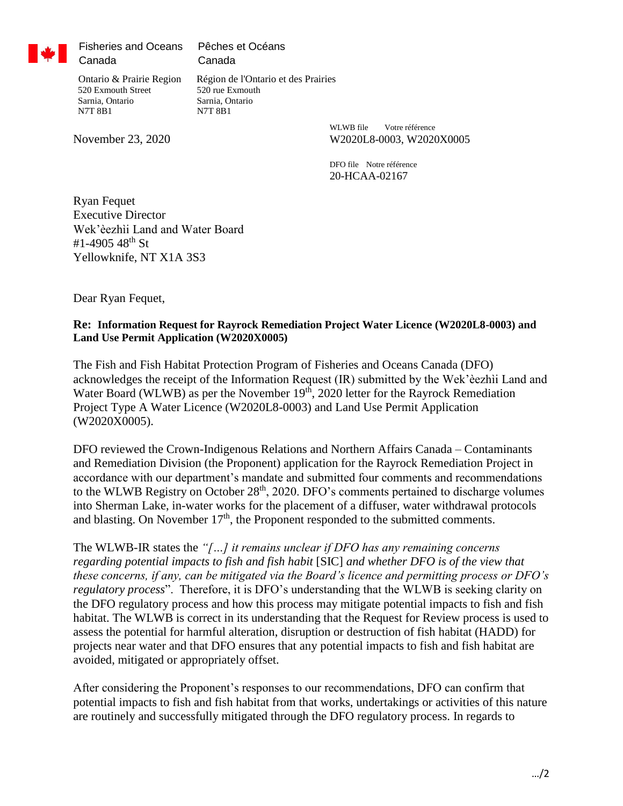

Fisheries and Oceans Canada

Pêches et Océans Canada

 520 Exmouth Street 520 rue Exmouth Sarnia, Ontario Sarnia, Ontario N7T 8B1 N7T 8B1

Ontario & Prairie Region Région de l'Ontario et des Prairies

WLWB file Votre référence November 23, 2020 W2020L8-0003, W2020X0005

> DFO file Notre référence 20-HCAA-02167

Ryan Fequet Executive Director Wek'èezhìi Land and Water Board #1-4905 48<sup>th</sup> St Yellowknife, NT X1A 3S3

Dear Ryan Fequet,

## **Re: Information Request for Rayrock Remediation Project Water Licence (W2020L8-0003) and Land Use Permit Application (W2020X0005)**

The Fish and Fish Habitat Protection Program of Fisheries and Oceans Canada (DFO) acknowledges the receipt of the Information Request (IR) submitted by the Wek'èezhìi Land and Water Board (WLWB) as per the November 19<sup>th</sup>, 2020 letter for the Rayrock Remediation Project Type A Water Licence (W2020L8-0003) and Land Use Permit Application (W2020X0005).

DFO reviewed the Crown-Indigenous Relations and Northern Affairs Canada – Contaminants and Remediation Division (the Proponent) application for the Rayrock Remediation Project in accordance with our department's mandate and submitted four comments and recommendations to the WLWB Registry on October 28<sup>th</sup>, 2020. DFO's comments pertained to discharge volumes into Sherman Lake, in-water works for the placement of a diffuser, water withdrawal protocols and blasting. On November  $17<sup>th</sup>$ , the Proponent responded to the submitted comments.

The WLWB-IR states the *"[…] it remains unclear if DFO has any remaining concerns regarding potential impacts to fish and fish habit* [SIC] *and whether DFO is of the view that these concerns, if any, can be mitigated via the Board's licence and permitting process or DFO's regulatory process*". Therefore, it is DFO's understanding that the WLWB is seeking clarity on the DFO regulatory process and how this process may mitigate potential impacts to fish and fish habitat. The WLWB is correct in its understanding that the Request for Review process is used to assess the potential for harmful alteration, disruption or destruction of fish habitat (HADD) for projects near water and that DFO ensures that any potential impacts to fish and fish habitat are avoided, mitigated or appropriately offset.

After considering the Proponent's responses to our recommendations, DFO can confirm that potential impacts to fish and fish habitat from that works, undertakings or activities of this nature are routinely and successfully mitigated through the DFO regulatory process. In regards to